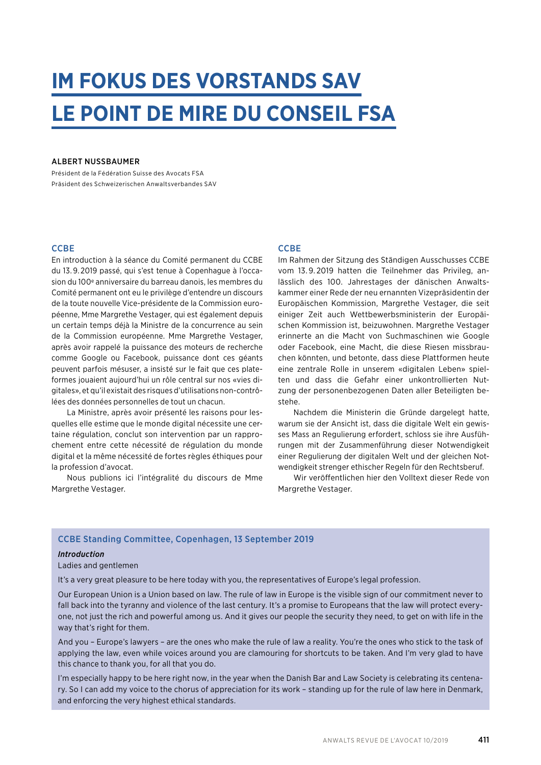## **IM FOKUS DES VORSTANDS SAV LE POINT DE MIRE DU CONSEIL FSA**

#### ALBERT NUSSBAUMER

Président de la Fédération Suisse des Avocats FSA Präsident des Schweizerischen Anwaltsverbandes SAV

#### **CCBE**

En introduction à la séance du Comité permanent du CCBE du 13. 9. 2019 passé, qui s'est tenue à Copenhague à l'occasion du 100e anniversaire du barreau danois, les membres du Comité permanent ont eu le privilège d'entendre un discours de la toute nouvelle Vice-présidente de la Commission européenne, Mme Margrethe Vestager, qui est également depuis un certain temps déjà la Ministre de la concurrence au sein de la Commission européenne. Mme Margrethe Vestager, après avoir rappelé la puissance des moteurs de recherche comme Google ou Facebook, puissance dont ces géants peuvent parfois mésuser, a insisté sur le fait que ces plateformes jouaient aujourd'hui un rôle central sur nos «vies digitales», et qu'il existait des risques d'utilisations non-contrôlées des données personnelles de tout un chacun.

La Ministre, après avoir présenté les raisons pour lesquelles elle estime que le monde digital nécessite une certaine régulation, conclut son intervention par un rapprochement entre cette nécessité de régulation du monde digital et la même nécessité de fortes règles éthiques pour la profession d'avocat.

Nous publions ici l'intégralité du discours de Mme Margrethe Vestager.

#### **CCBE**

Im Rahmen der Sitzung des Ständigen Ausschusses CCBE vom 13. 9. 2019 hatten die Teilnehmer das Privileg, anlässlich des 100. Jahrestages der dänischen Anwaltskammer einer Rede der neu ernannten Vizepräsidentin der Europäischen Kommission, Margrethe Vestager, die seit einiger Zeit auch Wettbewerbsministerin der Europäischen Kommission ist, beizuwohnen. Margrethe Vestager erinnerte an die Macht von Suchmaschinen wie Google oder Facebook, eine Macht, die diese Riesen missbrauchen könnten, und betonte, dass diese Plattformen heute eine zentrale Rolle in unserem «digitalen Leben» spielten und dass die Gefahr einer unkontrollierten Nutzung der personenbezogenen Daten aller Beteiligten bestehe.

Nachdem die Ministerin die Gründe dargelegt hatte, warum sie der Ansicht ist, dass die digitale Welt ein gewisses Mass an Regulierung erfordert, schloss sie ihre Ausführungen mit der Zusammenführung dieser Notwendigkeit einer Regulierung der digitalen Welt und der gleichen Notwendigkeit strenger ethischer Regeln für den Rechtsberuf.

Wir veröffentlichen hier den Volltext dieser Rede von Margrethe Vestager.

#### CCBE Standing Committee, Copenhagen, 13 September 2019

#### *Introduction*

Ladies and gentlemen

It's a very great pleasure to be here today with you, the representatives of Europe's legal profession.

Our European Union is a Union based on law. The rule of law in Europe is the visible sign of our commitment never to fall back into the tyranny and violence of the last century. It's a promise to Europeans that the law will protect everyone, not just the rich and powerful among us. And it gives our people the security they need, to get on with life in the way that's right for them.

And you – Europe's lawyers – are the ones who make the rule of law a reality. You're the ones who stick to the task of applying the law, even while voices around you are clamouring for shortcuts to be taken. And I'm very glad to have this chance to thank you, for all that you do.

I'm especially happy to be here right now, in the year when the Danish Bar and Law Society is celebrating its centenary. So I can add my voice to the chorus of appreciation for its work – standing up for the rule of law here in Denmark, and enforcing the very highest ethical standards.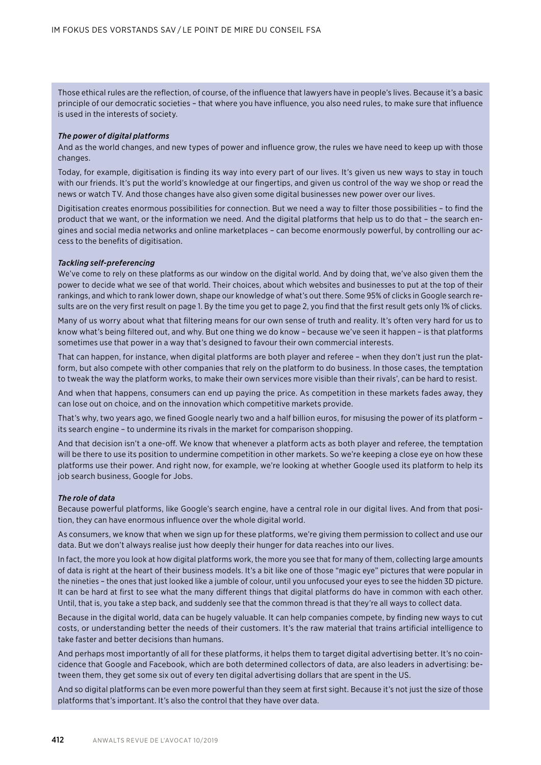Those ethical rules are the reflection, of course, of the influence that lawyers have in people's lives. Because it's a basic principle of our democratic societies – that where you have influence, you also need rules, to make sure that influence is used in the interests of society.

#### *The power of digital platforms*

And as the world changes, and new types of power and influence grow, the rules we have need to keep up with those changes.

Today, for example, digitisation is finding its way into every part of our lives. It's given us new ways to stay in touch with our friends. It's put the world's knowledge at our fingertips, and given us control of the way we shop or read the news or watch TV. And those changes have also given some digital businesses new power over our lives.

Digitisation creates enormous possibilities for connection. But we need a way to filter those possibilities – to find the product that we want, or the information we need. And the digital platforms that help us to do that – the search engines and social media networks and online marketplaces – can become enormously powerful, by controlling our access to the benefits of digitisation.

#### *Tackling self-preferencing*

We've come to rely on these platforms as our window on the digital world. And by doing that, we've also given them the power to decide what we see of that world. Their choices, about which websites and businesses to put at the top of their rankings, and which to rank lower down, shape our knowledge of what's out there. Some 95% of clicks in Google search results are on the very first result on page 1. By the time you get to page 2, you find that the first result gets only 1% of clicks.

Many of us worry about what that filtering means for our own sense of truth and reality. It's often very hard for us to know what's being filtered out, and why. But one thing we do know – because we've seen it happen – is that platforms sometimes use that power in a way that's designed to favour their own commercial interests.

That can happen, for instance, when digital platforms are both player and referee – when they don't just run the platform, but also compete with other companies that rely on the platform to do business. In those cases, the temptation to tweak the way the platform works, to make their own services more visible than their rivals', can be hard to resist.

And when that happens, consumers can end up paying the price. As competition in these markets fades away, they can lose out on choice, and on the innovation which competitive markets provide.

That's why, two years ago, we fined Google nearly two and a half billion euros, for misusing the power of its platform – its search engine – to undermine its rivals in the market for comparison shopping.

And that decision isn't a one-off. We know that whenever a platform acts as both player and referee, the temptation will be there to use its position to undermine competition in other markets. So we're keeping a close eye on how these platforms use their power. And right now, for example, we're looking at whether Google used its platform to help its job search business, Google for Jobs.

#### *The role of data*

Because powerful platforms, like Google's search engine, have a central role in our digital lives. And from that position, they can have enormous influence over the whole digital world.

As consumers, we know that when we sign up for these platforms, we're giving them permission to collect and use our data. But we don't always realise just how deeply their hunger for data reaches into our lives.

In fact, the more you look at how digital platforms work, the more you see that for many of them, collecting large amounts of data is right at the heart of their business models. It's a bit like one of those "magic eye" pictures that were popular in the nineties – the ones that just looked like a jumble of colour, until you unfocused your eyes to see the hidden 3D picture. It can be hard at first to see what the many different things that digital platforms do have in common with each other. Until, that is, you take a step back, and suddenly see that the common thread is that they're all ways to collect data.

Because in the digital world, data can be hugely valuable. It can help companies compete, by finding new ways to cut costs, or understanding better the needs of their customers. It's the raw material that trains artificial intelligence to take faster and better decisions than humans.

And perhaps most importantly of all for these platforms, it helps them to target digital advertising better. It's no coincidence that Google and Facebook, which are both determined collectors of data, are also leaders in advertising: between them, they get some six out of every ten digital advertising dollars that are spent in the US.

And so digital platforms can be even more powerful than they seem at first sight. Because it's not just the size of those platforms that's important. It's also the control that they have over data.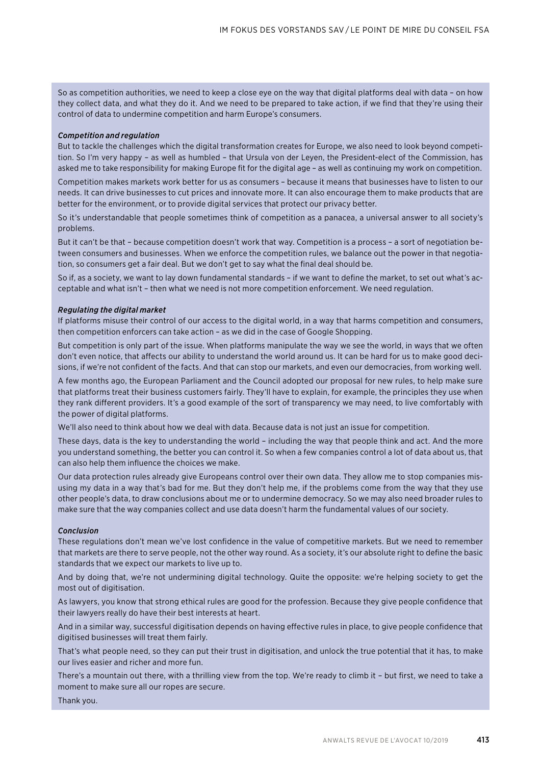So as competition authorities, we need to keep a close eye on the way that digital platforms deal with data – on how they collect data, and what they do it. And we need to be prepared to take action, if we find that they're using their control of data to undermine competition and harm Europe's consumers.

#### *Competition and regulation*

But to tackle the challenges which the digital transformation creates for Europe, we also need to look beyond competition. So I'm very happy – as well as humbled – that Ursula von der Leyen, the President-elect of the Commission, has asked me to take responsibility for making Europe fit for the digital age – as well as continuing my work on competition.

Competition makes markets work better for us as consumers – because it means that businesses have to listen to our needs. It can drive businesses to cut prices and innovate more. It can also encourage them to make products that are better for the environment, or to provide digital services that protect our privacy better.

So it's understandable that people sometimes think of competition as a panacea, a universal answer to all society's problems.

But it can't be that – because competition doesn't work that way. Competition is a process – a sort of negotiation between consumers and businesses. When we enforce the competition rules, we balance out the power in that negotiation, so consumers get a fair deal. But we don't get to say what the final deal should be.

So if, as a society, we want to lay down fundamental standards – if we want to define the market, to set out what's acceptable and what isn't – then what we need is not more competition enforcement. We need regulation.

#### *Regulating the digital market*

If platforms misuse their control of our access to the digital world, in a way that harms competition and consumers, then competition enforcers can take action – as we did in the case of Google Shopping.

But competition is only part of the issue. When platforms manipulate the way we see the world, in ways that we often don't even notice, that affects our ability to understand the world around us. It can be hard for us to make good decisions, if we're not confident of the facts. And that can stop our markets, and even our democracies, from working well.

A few months ago, the European Parliament and the Council adopted our proposal for new rules, to help make sure that platforms treat their business customers fairly. They'll have to explain, for example, the principles they use when they rank different providers. It's a good example of the sort of transparency we may need, to live comfortably with the power of digital platforms.

We'll also need to think about how we deal with data. Because data is not just an issue for competition.

These days, data is the key to understanding the world – including the way that people think and act. And the more you understand something, the better you can control it. So when a few companies control a lot of data about us, that can also help them influence the choices we make.

Our data protection rules already give Europeans control over their own data. They allow me to stop companies misusing my data in a way that's bad for me. But they don't help me, if the problems come from the way that they use other people's data, to draw conclusions about me or to undermine democracy. So we may also need broader rules to make sure that the way companies collect and use data doesn't harm the fundamental values of our society.

#### *Conclusion*

These regulations don't mean we've lost confidence in the value of competitive markets. But we need to remember that markets are there to serve people, not the other way round. As a society, it's our absolute right to define the basic standards that we expect our markets to live up to.

And by doing that, we're not undermining digital technology. Quite the opposite: we're helping society to get the most out of digitisation.

As lawyers, you know that strong ethical rules are good for the profession. Because they give people confidence that their lawyers really do have their best interests at heart.

And in a similar way, successful digitisation depends on having effective rules in place, to give people confidence that digitised businesses will treat them fairly.

That's what people need, so they can put their trust in digitisation, and unlock the true potential that it has, to make our lives easier and richer and more fun.

There's a mountain out there, with a thrilling view from the top. We're ready to climb it – but first, we need to take a moment to make sure all our ropes are secure.

Thank you.